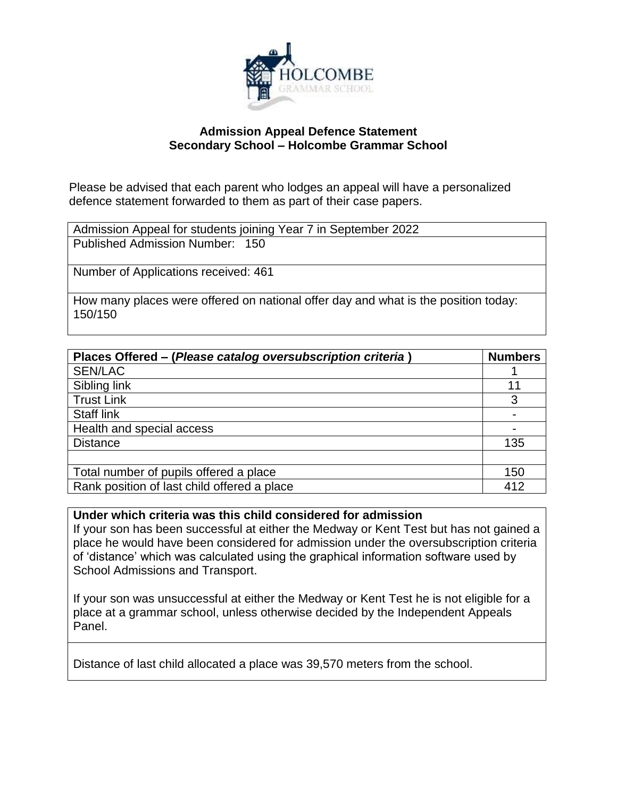

## **Admission Appeal Defence Statement Secondary School – Holcombe Grammar School**

Please be advised that each parent who lodges an appeal will have a personalized defence statement forwarded to them as part of their case papers.

| Admission Appeal for students joining Year 7 in September 2022                                |
|-----------------------------------------------------------------------------------------------|
| Published Admission Number: 150                                                               |
|                                                                                               |
| Number of Applications received: 461                                                          |
| How many places were offered on national offer day and what is the position today:<br>150/150 |

| Places Offered - (Please catalog oversubscription criteria) | <b>Numbers</b> |
|-------------------------------------------------------------|----------------|
| <b>SEN/LAC</b>                                              |                |
| Sibling link                                                | 11             |
| <b>Trust Link</b>                                           | 3              |
| <b>Staff link</b>                                           |                |
| Health and special access                                   |                |
| <b>Distance</b>                                             | 135            |
|                                                             |                |
| Total number of pupils offered a place                      | 150            |
| Rank position of last child offered a place                 | 412            |

**Under which criteria was this child considered for admission**

If your son has been successful at either the Medway or Kent Test but has not gained a place he would have been considered for admission under the oversubscription criteria of 'distance' which was calculated using the graphical information software used by School Admissions and Transport.

If your son was unsuccessful at either the Medway or Kent Test he is not eligible for a place at a grammar school, unless otherwise decided by the Independent Appeals Panel.

Distance of last child allocated a place was 39,570 meters from the school.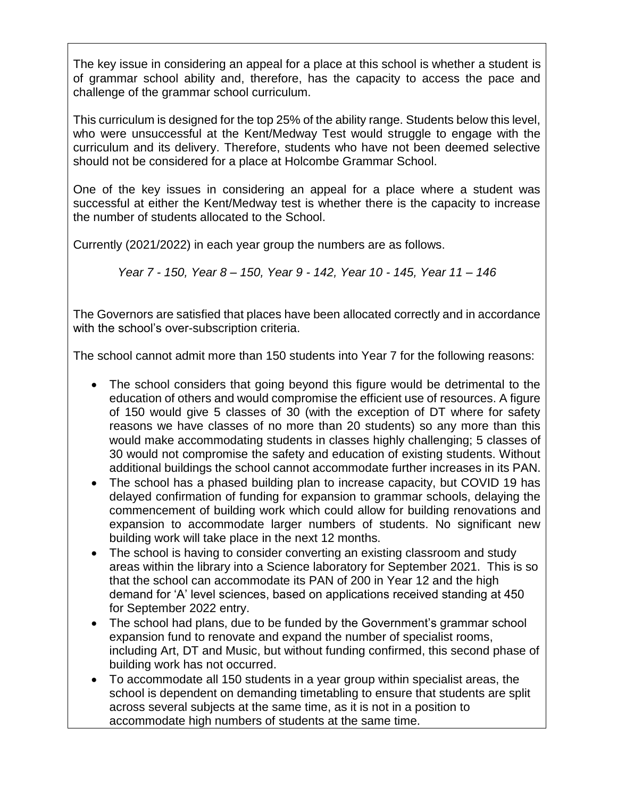The key issue in considering an appeal for a place at this school is whether a student is of grammar school ability and, therefore, has the capacity to access the pace and challenge of the grammar school curriculum.

This curriculum is designed for the top 25% of the ability range. Students below this level, who were unsuccessful at the Kent/Medway Test would struggle to engage with the curriculum and its delivery. Therefore, students who have not been deemed selective should not be considered for a place at Holcombe Grammar School.

One of the key issues in considering an appeal for a place where a student was successful at either the Kent/Medway test is whether there is the capacity to increase the number of students allocated to the School.

Currently (2021/2022) in each year group the numbers are as follows.

*Year 7 - 150, Year 8 – 150, Year 9 - 142, Year 10 - 145, Year 11 – 146*

The Governors are satisfied that places have been allocated correctly and in accordance with the school's over-subscription criteria.

The school cannot admit more than 150 students into Year 7 for the following reasons:

- The school considers that going beyond this figure would be detrimental to the education of others and would compromise the efficient use of resources. A figure of 150 would give 5 classes of 30 (with the exception of DT where for safety reasons we have classes of no more than 20 students) so any more than this would make accommodating students in classes highly challenging; 5 classes of 30 would not compromise the safety and education of existing students. Without additional buildings the school cannot accommodate further increases in its PAN.
- The school has a phased building plan to increase capacity, but COVID 19 has delayed confirmation of funding for expansion to grammar schools, delaying the commencement of building work which could allow for building renovations and expansion to accommodate larger numbers of students. No significant new building work will take place in the next 12 months.
- The school is having to consider converting an existing classroom and study areas within the library into a Science laboratory for September 2021. This is so that the school can accommodate its PAN of 200 in Year 12 and the high demand for 'A' level sciences, based on applications received standing at 450 for September 2022 entry.
- The school had plans, due to be funded by the Government's grammar school expansion fund to renovate and expand the number of specialist rooms, including Art, DT and Music, but without funding confirmed, this second phase of building work has not occurred.
- To accommodate all 150 students in a year group within specialist areas, the school is dependent on demanding timetabling to ensure that students are split across several subjects at the same time, as it is not in a position to accommodate high numbers of students at the same time.